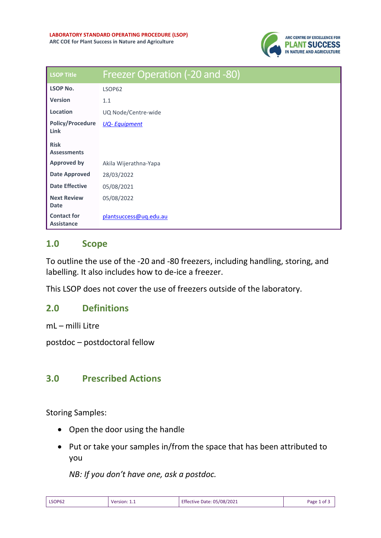

| <b>LSOP Title</b>                       | Freezer Operation (-20 and -80) |
|-----------------------------------------|---------------------------------|
| <b>LSOP No.</b>                         | LSOP62                          |
| <b>Version</b>                          | 1.1                             |
| Location                                | UQ Node/Centre-wide             |
| <b>Policy/Procedure</b><br><b>Link</b>  | <b>UQ-Equipment</b>             |
| <b>Risk</b><br><b>Assessments</b>       |                                 |
| <b>Approved by</b>                      | Akila Wijerathna-Yapa           |
| <b>Date Approved</b>                    | 28/03/2022                      |
| <b>Date Effective</b>                   | 05/08/2021                      |
| <b>Next Review</b><br><b>Date</b>       | 05/08/2022                      |
| <b>Contact for</b><br><b>Assistance</b> | plantsuccess@ug.edu.au          |

## **1.0 Scope**

To outline the use of the -20 and -80 freezers, including handling, storing, and labelling. It also includes how to de-ice a freezer.

This LSOP does not cover the use of freezers outside of the laboratory.

## **2.0 Definitions**

mL – milli Litre

postdoc – postdoctoral fellow

## **3.0 Prescribed Actions**

Storing Samples:

- Open the door using the handle
- Put or take your samples in/from the space that has been attributed to you

*NB: If you don't have one, ask a postdoc.* 

| LSOP62 | Version: 1.1 | <b>Effective Date: 05/08/2021</b> | Page 1 of 3 |
|--------|--------------|-----------------------------------|-------------|
|--------|--------------|-----------------------------------|-------------|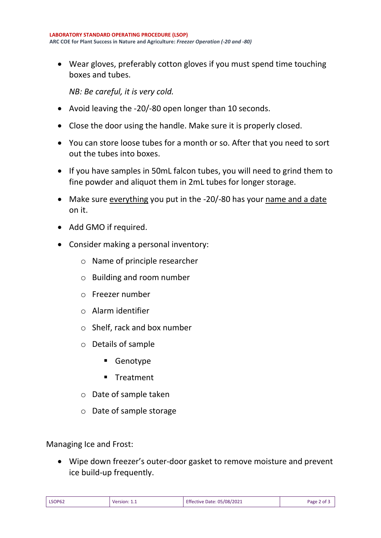• Wear gloves, preferably cotton gloves if you must spend time touching boxes and tubes.

*NB: Be careful, it is very cold.* 

- Avoid leaving the -20/-80 open longer than 10 seconds.
- Close the door using the handle. Make sure it is properly closed.
- You can store loose tubes for a month or so. After that you need to sort out the tubes into boxes.
- If you have samples in 50mL falcon tubes, you will need to grind them to fine powder and aliquot them in 2mL tubes for longer storage.
- Make sure everything you put in the -20/-80 has your name and a date on it.
- Add GMO if required.
- Consider making a personal inventory:
	- o Name of principle researcher
	- o Building and room number
	- o Freezer number
	- o Alarm identifier
	- o Shelf, rack and box number
	- o Details of sample
		- Genotype
		- Treatment
	- o Date of sample taken
	- o Date of sample storage

Managing Ice and Frost:

• Wipe down freezer's outer-door gasket to remove moisture and prevent ice build-up frequently.

| LSOP62 | Version: $1.1$ | <b>Effective Date: 05/08/2021</b> | Page 2 of 5 |
|--------|----------------|-----------------------------------|-------------|
|--------|----------------|-----------------------------------|-------------|